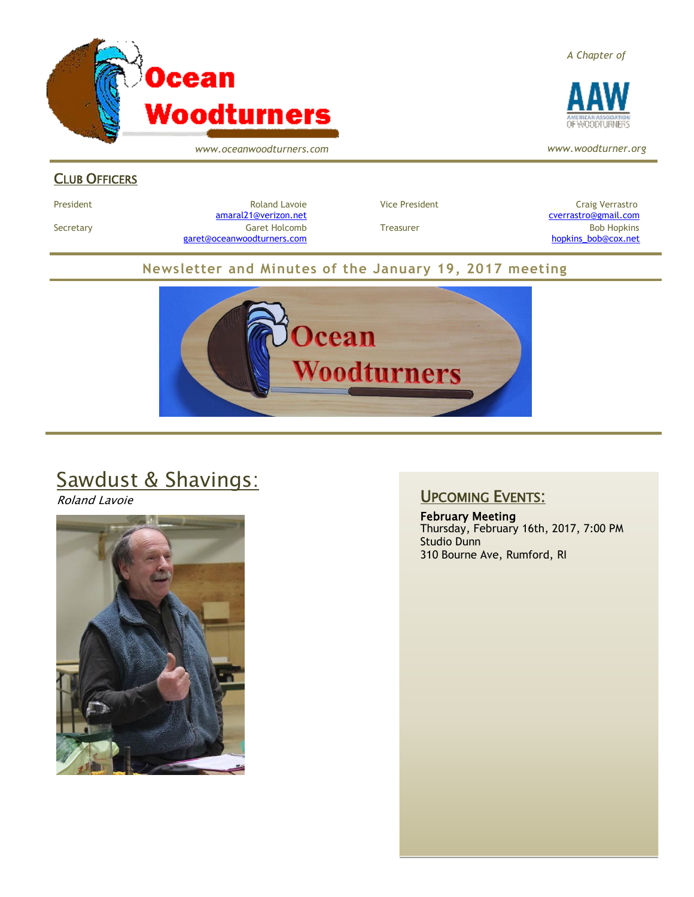

*www.oceanwoodturners.com*

#### CLUB OFFICERS

President Craig Verrastro Craig Roland Lavoie Craig Verrastro Vice President Craig Verrastro Craig Verrastro [amaral21@verizon.net](mailto:amaral21@verizon.net) [cverrastro@gmail.com](mailto:cverrastro@gmail.com) Secretary Garet Holcomb Treasurer Bob Hopkins Bob Hopkins (Bob Hopkins Garet Holcomb [garet@oceanwoodturners.com](mailto:garet@oceanwoodturners.com) and the state of the state of the state of the state of the state of the state of the state of the state of the state of the state of the state of the state of the state of the state of the state

#### **Newsletter and Minutes of the January 19, 2017 meeting**



# Sawdust & Shavings:

Roland Lavoie



#### UPCOMING EVENTS:

February Meeting Thursday, February 16th, 2017, 7:00 PM Studio Dunn 310 Bourne Ave, Rumford, RI





*www.woodturner.org*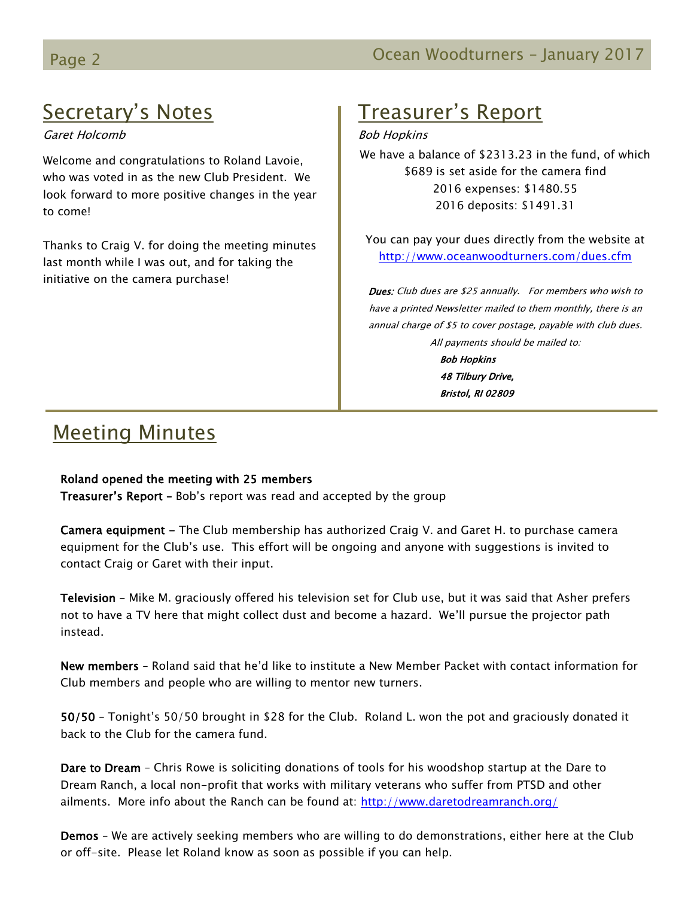## Secretary's Notes

Garet Holcomb

Welcome and congratulations to Roland Lavoie, who was voted in as the new Club President. We look forward to more positive changes in the year to come!

Thanks to Craig V. for doing the meeting minutes last month while I was out, and for taking the initiative on the camera purchase!

# Treasurer's Report

Bob Hopkins

We have a balance of \$2313.23 in the fund, of which \$689 is set aside for the camera find 2016 expenses: \$1480.55 2016 deposits: \$1491.31

You can pay your dues directly from the website at <http://www.oceanwoodturners.com/dues.cfm>

Dues: Club dues are \$25 annually. For members who wish to have a printed Newsletter mailed to them monthly, there is an annual charge of \$5 to cover postage, payable with club dues. All payments should be mailed to: Bob Hopkins

48 Tilbury Drive, Bristol, RI 02809

## Meeting Minutes

#### Roland opened the meeting with 25 members

**Treasurer's Report -** Bob's report was read and accepted by the group

Camera equipment - The Club membership has authorized Craig V. and Garet H. to purchase camera equipment for the Club's use. This effort will be ongoing and anyone with suggestions is invited to contact Craig or Garet with their input.

Television - Mike M. graciously offered his television set for Club use, but it was said that Asher prefers not to have a TV here that might collect dust and become a hazard. We'll pursue the projector path instead.

New members – Roland said that he'd like to institute a New Member Packet with contact information for Club members and people who are willing to mentor new turners.

50/50 – Tonight's 50/50 brought in \$28 for the Club. Roland L. won the pot and graciously donated it back to the Club for the camera fund.

Dare to Dream – Chris Rowe is soliciting donations of tools for his woodshop startup at the Dare to Dream Ranch, a local non-profit that works with military veterans who suffer from PTSD and other ailments. More info about the Ranch can be found at:<http://www.daretodreamranch.org/>

Demos – We are actively seeking members who are willing to do demonstrations, either here at the Club or off-site. Please let Roland know as soon as possible if you can help.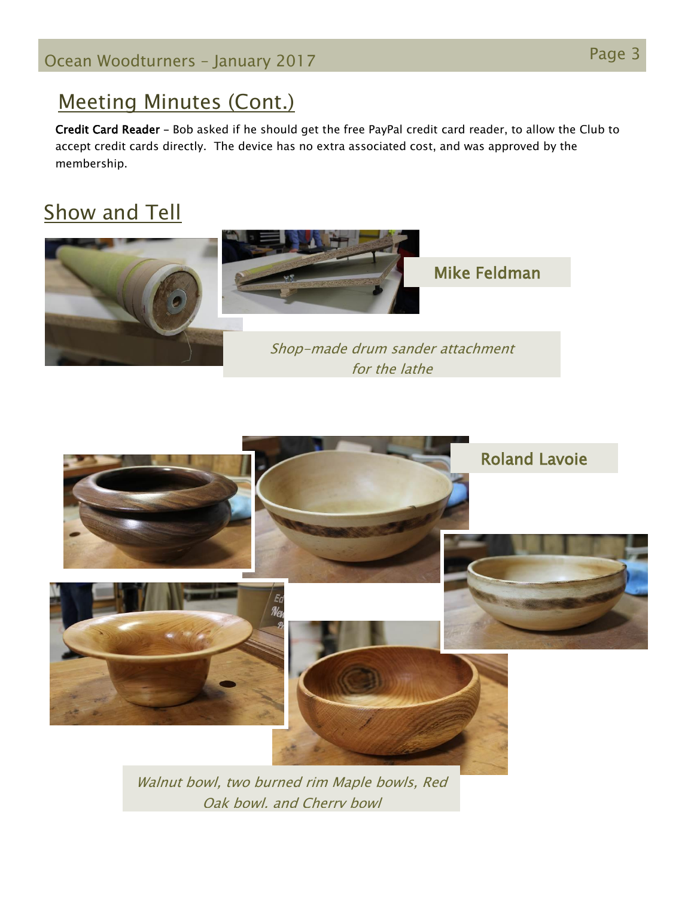### Meeting Minutes (Cont.)

Credit Card Reader – Bob asked if he should get the free PayPal credit card reader, to allow the Club to accept credit cards directly. The device has no extra associated cost, and was approved by the membership.

# Show and Tell





Walnut bowl, two burned rim Maple bowls, Red Oak bowl, and Cherry bowl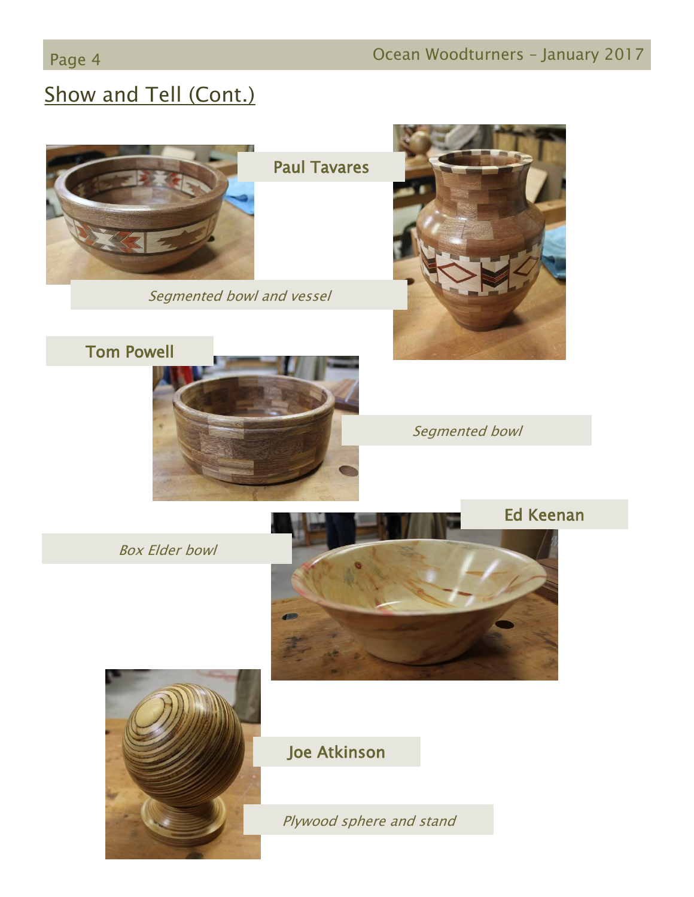# Show and Tell (Cont.)



Paul Tavares

Segmented bowl and vessel

Tom Powell





Segmented bowl

Box Elder bowl





### Joe Atkinson

Plywood sphere and stand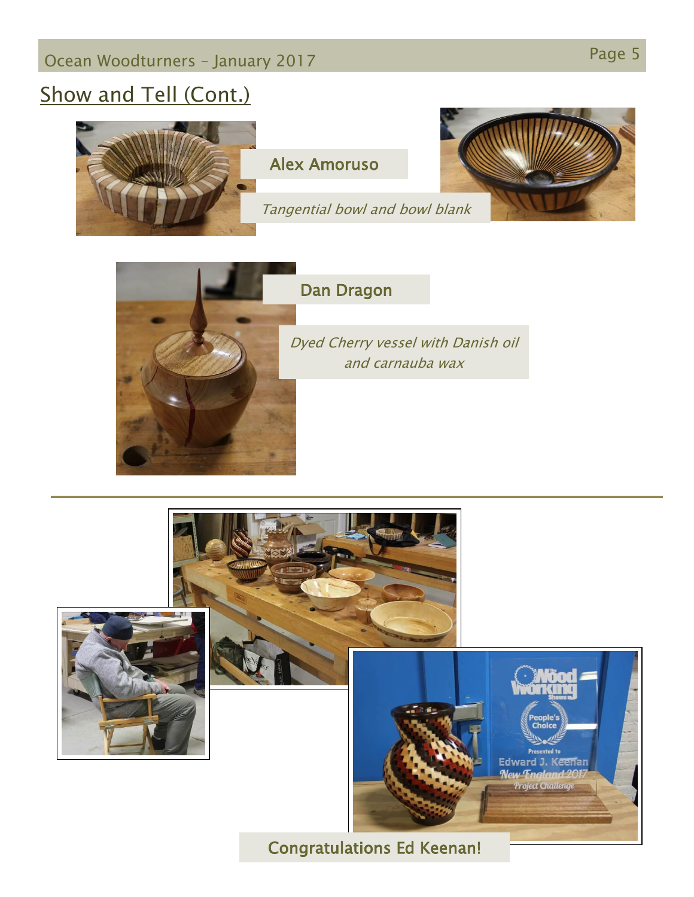# Show and Tell (Cont.)





### Dan Dragon

Dyed Cherry vessel with Danish oil and carnauba wax